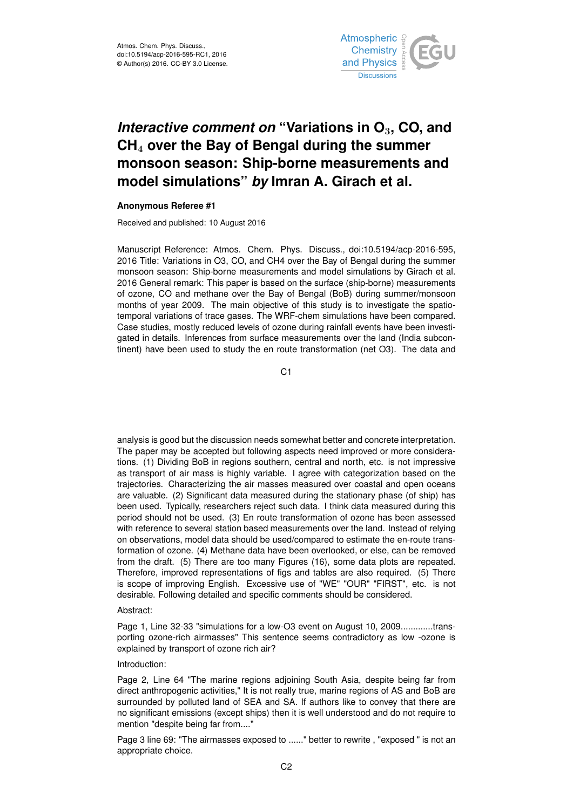

# *Interactive comment on* **"Variations in O**3**, CO, and CH**<sup>4</sup> **over the Bay of Bengal during the summer monsoon season: Ship-borne measurements and model simulations"** *by* **Imran A. Girach et al.**

## **Anonymous Referee #1**

Received and published: 10 August 2016

Manuscript Reference: Atmos. Chem. Phys. Discuss., doi:10.5194/acp-2016-595, 2016 Title: Variations in O3, CO, and CH4 over the Bay of Bengal during the summer monsoon season: Ship-borne measurements and model simulations by Girach et al. 2016 General remark: This paper is based on the surface (ship-borne) measurements of ozone, CO and methane over the Bay of Bengal (BoB) during summer/monsoon months of year 2009. The main objective of this study is to investigate the spatiotemporal variations of trace gases. The WRF-chem simulations have been compared. Case studies, mostly reduced levels of ozone during rainfall events have been investigated in details. Inferences from surface measurements over the land (India subcontinent) have been used to study the en route transformation (net O3). The data and

C1

analysis is good but the discussion needs somewhat better and concrete interpretation. The paper may be accepted but following aspects need improved or more considerations. (1) Dividing BoB in regions southern, central and north, etc. is not impressive as transport of air mass is highly variable. I agree with categorization based on the trajectories. Characterizing the air masses measured over coastal and open oceans are valuable. (2) Significant data measured during the stationary phase (of ship) has been used. Typically, researchers reject such data. I think data measured during this period should not be used. (3) En route transformation of ozone has been assessed with reference to several station based measurements over the land. Instead of relying on observations, model data should be used/compared to estimate the en-route transformation of ozone. (4) Methane data have been overlooked, or else, can be removed from the draft. (5) There are too many Figures (16), some data plots are repeated. Therefore, improved representations of figs and tables are also required. (5) There is scope of improving English. Excessive use of "WE" "OUR" "FIRST", etc. is not desirable. Following detailed and specific comments should be considered.

## Abstract:

Page 1, Line 32-33 "simulations for a low-O3 event on August 10, 2009.............transporting ozone-rich airmasses" This sentence seems contradictory as low -ozone is explained by transport of ozone rich air?

### Introduction:

Page 2, Line 64 "The marine regions adjoining South Asia, despite being far from direct anthropogenic activities," It is not really true, marine regions of AS and BoB are surrounded by polluted land of SEA and SA. If authors like to convey that there are no significant emissions (except ships) then it is well understood and do not require to mention "despite being far from...."

Page 3 line 69: "The airmasses exposed to ......" better to rewrite , "exposed " is not an appropriate choice.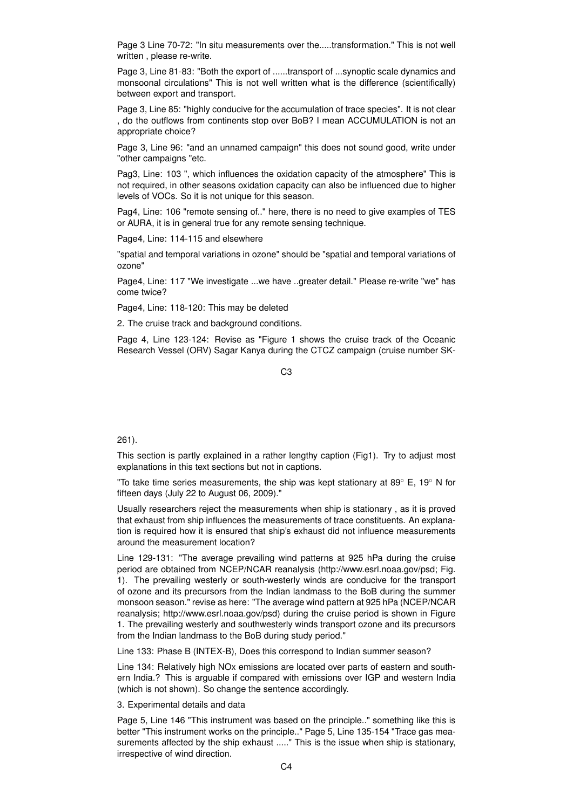Page 3 Line 70-72: "In situ measurements over the.....transformation." This is not well written , please re-write.

Page 3, Line 81-83: "Both the export of .....transport of ...synoptic scale dynamics and monsoonal circulations" This is not well written what is the difference (scientifically) between export and transport.

Page 3, Line 85: "highly conducive for the accumulation of trace species". It is not clear , do the outflows from continents stop over BoB? I mean ACCUMULATION is not an appropriate choice?

Page 3, Line 96: "and an unnamed campaign" this does not sound good, write under "other campaigns "etc.

Pag3, Line: 103 ", which influences the oxidation capacity of the atmosphere" This is not required, in other seasons oxidation capacity can also be influenced due to higher levels of VOCs. So it is not unique for this season.

Pag4, Line: 106 "remote sensing of.." here, there is no need to give examples of TES or AURA, it is in general true for any remote sensing technique.

Page4, Line: 114-115 and elsewhere

"spatial and temporal variations in ozone" should be "spatial and temporal variations of ozone"

Page4, Line: 117 "We investigate ...we have ..greater detail." Please re-write "we" has come twice?

Page4, Line: 118-120: This may be deleted

2. The cruise track and background conditions.

Page 4, Line 123-124: Revise as "Figure 1 shows the cruise track of the Oceanic Research Vessel (ORV) Sagar Kanya during the CTCZ campaign (cruise number SK-

 $C<sub>3</sub>$ 

### 261).

This section is partly explained in a rather lengthy caption (Fig1). Try to adjust most explanations in this text sections but not in captions.

"To take time series measurements, the ship was kept stationary at 89 $^{\circ}$  E, 19 $^{\circ}$  N for fifteen days (July 22 to August 06, 2009)."

Usually researchers reject the measurements when ship is stationary , as it is proved that exhaust from ship influences the measurements of trace constituents. An explanation is required how it is ensured that ship's exhaust did not influence measurements around the measurement location?

Line 129-131: "The average prevailing wind patterns at 925 hPa during the cruise period are obtained from NCEP/NCAR reanalysis (http://www.esrl.noaa.gov/psd; Fig. 1). The prevailing westerly or south-westerly winds are conducive for the transport of ozone and its precursors from the Indian landmass to the BoB during the summer monsoon season." revise as here: "The average wind pattern at 925 hPa (NCEP/NCAR reanalysis; http://www.esrl.noaa.gov/psd) during the cruise period is shown in Figure 1. The prevailing westerly and southwesterly winds transport ozone and its precursors from the Indian landmass to the BoB during study period."

Line 133: Phase B (INTEX-B), Does this correspond to Indian summer season?

Line 134: Relatively high NOx emissions are located over parts of eastern and southern India.? This is arguable if compared with emissions over IGP and western India (which is not shown). So change the sentence accordingly.

3. Experimental details and data

Page 5, Line 146 "This instrument was based on the principle.." something like this is better "This instrument works on the principle.." Page 5, Line 135-154 "Trace gas measurements affected by the ship exhaust ....." This is the issue when ship is stationary, irrespective of wind direction.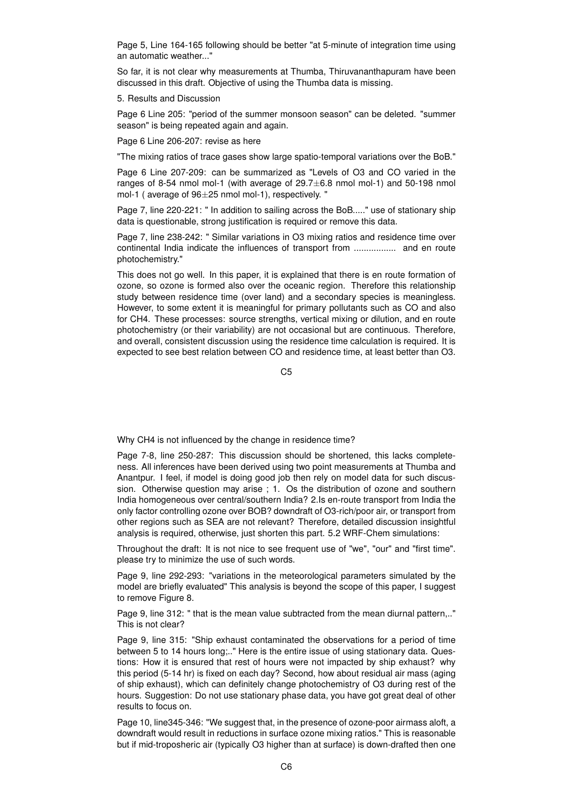Page 5, Line 164-165 following should be better "at 5-minute of integration time using an automatic weather..."

So far, it is not clear why measurements at Thumba, Thiruvananthapuram have been discussed in this draft. Objective of using the Thumba data is missing.

5. Results and Discussion

Page 6 Line 205: "period of the summer monsoon season" can be deleted. "summer season" is being repeated again and again.

Page 6 Line 206-207: revise as here

"The mixing ratios of trace gases show large spatio-temporal variations over the BoB."

Page 6 Line 207-209: can be summarized as "Levels of O3 and CO varied in the ranges of 8-54 nmol mol-1 (with average of 29.7±6.8 nmol mol-1) and 50-198 nmol mol-1 ( average of 96±25 nmol mol-1), respectively. "

Page 7, line 220-221: " In addition to sailing across the BoB....." use of stationary ship data is questionable, strong justification is required or remove this data.

Page 7, line 238-242: " Similar variations in O3 mixing ratios and residence time over continental India indicate the influences of transport from ................. and en route photochemistry."

This does not go well. In this paper, it is explained that there is en route formation of ozone, so ozone is formed also over the oceanic region. Therefore this relationship study between residence time (over land) and a secondary species is meaningless. However, to some extent it is meaningful for primary pollutants such as CO and also for CH4. These processes: source strengths, vertical mixing or dilution, and en route photochemistry (or their variability) are not occasional but are continuous. Therefore, and overall, consistent discussion using the residence time calculation is required. It is expected to see best relation between CO and residence time, at least better than O3.

 $C<sub>5</sub>$ 

Why CH4 is not influenced by the change in residence time?

Page 7-8, line 250-287: This discussion should be shortened, this lacks completeness. All inferences have been derived using two point measurements at Thumba and Anantpur. I feel, if model is doing good job then rely on model data for such discussion. Otherwise question may arise ; 1. Os the distribution of ozone and southern India homogeneous over central/southern India? 2.Is en-route transport from India the only factor controlling ozone over BOB? downdraft of O3-rich/poor air, or transport from other regions such as SEA are not relevant? Therefore, detailed discussion insightful analysis is required, otherwise, just shorten this part. 5.2 WRF-Chem simulations:

Throughout the draft: It is not nice to see frequent use of "we", "our" and "first time". please try to minimize the use of such words.

Page 9, line 292-293: "variations in the meteorological parameters simulated by the model are briefly evaluated" This analysis is beyond the scope of this paper, I suggest to remove Figure 8.

Page 9, line 312: " that is the mean value subtracted from the mean diurnal pattern,.." This is not clear?

Page 9, line 315: "Ship exhaust contaminated the observations for a period of time between 5 to 14 hours long;.." Here is the entire issue of using stationary data. Questions: How it is ensured that rest of hours were not impacted by ship exhaust? why this period (5-14 hr) is fixed on each day? Second, how about residual air mass (aging of ship exhaust), which can definitely change photochemistry of O3 during rest of the hours. Suggestion: Do not use stationary phase data, you have got great deal of other results to focus on.

Page 10, line345-346: "We suggest that, in the presence of ozone-poor airmass aloft, a downdraft would result in reductions in surface ozone mixing ratios." This is reasonable but if mid-troposheric air (typically O3 higher than at surface) is down-drafted then one